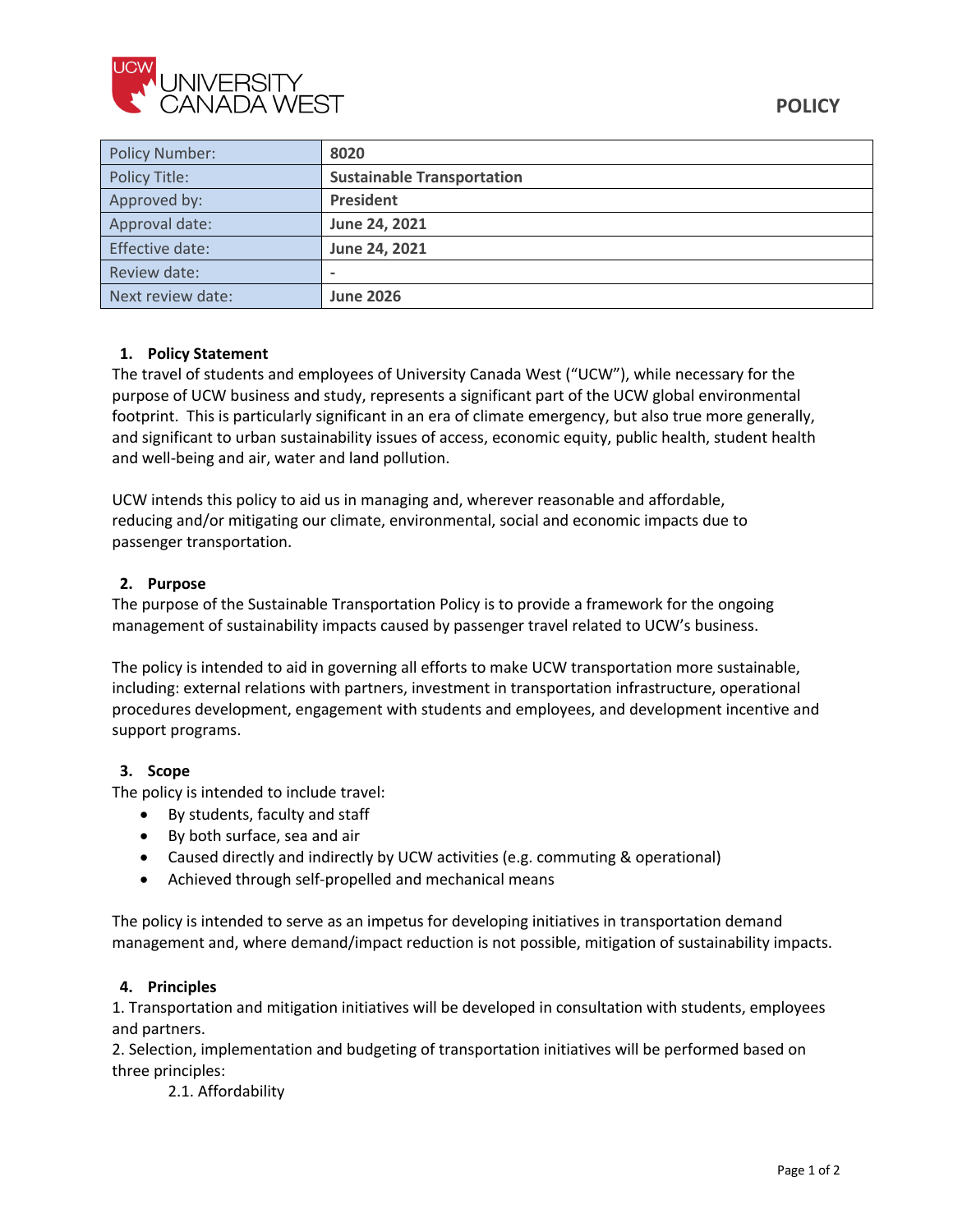

| <b>Policy Number:</b> | 8020                              |
|-----------------------|-----------------------------------|
| Policy Title:         | <b>Sustainable Transportation</b> |
| Approved by:          | President                         |
| Approval date:        | June 24, 2021                     |
| Effective date:       | June 24, 2021                     |
| Review date:          |                                   |
| Next review date:     | <b>June 2026</b>                  |

## **1. Policy Statement**

The travel of students and employees of University Canada West ("UCW"), while necessary for the purpose of UCW business and study, represents a significant part of the UCW global environmental footprint. This is particularly significant in an era of climate emergency, but also true more generally, and significant to urban sustainability issues of access, economic equity, public health, student health and well-being and air, water and land pollution.

UCW intends this policy to aid us in managing and, wherever reasonable and affordable, reducing and/or mitigating our climate, environmental, social and economic impacts due to passenger transportation.

## **2. Purpose**

The purpose of the Sustainable Transportation Policy is to provide a framework for the ongoing management of sustainability impacts caused by passenger travel related to UCW's business.

The policy is intended to aid in governing all efforts to make UCW transportation more sustainable, including: external relations with partners, investment in transportation infrastructure, operational procedures development, engagement with students and employees, and development incentive and support programs.

## **3. Scope**

The policy is intended to include travel:

- By students, faculty and staff
- By both surface, sea and air
- Caused directly and indirectly by UCW activities (e.g. commuting & operational)
- Achieved through self-propelled and mechanical means

The policy is intended to serve as an impetus for developing initiatives in transportation demand management and, where demand/impact reduction is not possible, mitigation of sustainability impacts.

#### **4. Principles**

1. Transportation and mitigation initiatives will be developed in consultation with students, employees and partners.

2. Selection, implementation and budgeting of transportation initiatives will be performed based on three principles:

2.1. Affordability